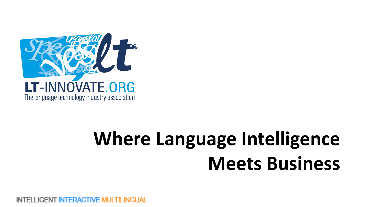

# **Where Language Intelligence Meets Business**

FELLIGENT INTERACTIVE MULTIL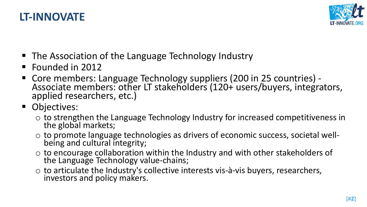

#### **LT-INNOVATE**

- The Association of the Language Technology Industry
- Founded in 2012
- Core members: Language Technology suppliers (200 in 25 countries) -<br>Associate members: other LT stakeholders (120+ users/buyers, integrators,<br>applied researchers, etc.)
- Objectives:
	- $\circ$  to strengthen the Language Technology Industry for increased competitiveness in the global markets;
	- $\circ$  to promote language technologies as drivers of economic success, societal well-<br>being and cultural integrity;
	- $\circ$  to encourage collaboration within the Industry and with other stakeholders of the Language Technology value-chains;
	- $\circ$  to articulate the Industry's collective interests vis-à-vis buyers, researchers,<br>investors and policy makers.

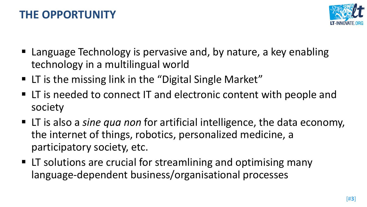## **THE OPPORTUNITY**



- Language Technology is pervasive and, by nature, a key enabling technology in a multilingual world
- LT is the missing link in the "Digital Single Market"
- LT is needed to connect IT and electronic content with people and society
- LT is also a *sine qua non* for artificial intelligence, the data economy, the internet of things, robotics, personalized medicine, a participatory society, etc.
- LT solutions are crucial for streamlining and optimising many language-dependent business/organisational processes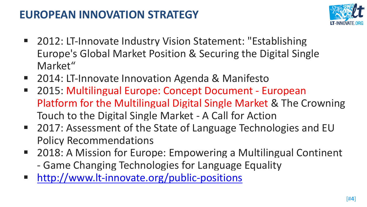## **EUROPEAN INNOVATION STRATEGY**



- 2012: LT-Innovate Industry Vision Statement: "Establishing Europe's Global Market Position & Securing the Digital Single Market"
- 2014: LT-Innovate Innovation Agenda & Manifesto
- 2015: Multilingual Europe: Concept Document European Platform for the Multilingual Digital Single Market & The Crowning Touch to the Digital Single Market - A Call for Action
- 2017: Assessment of the State of Language Technologies and EU Policy Recommendations
- 2018: A Mission for Europe: Empowering a Multilingual Continent - Game Changing Technologies for Language Equality
- http://www.lt-innovate.org/public-positions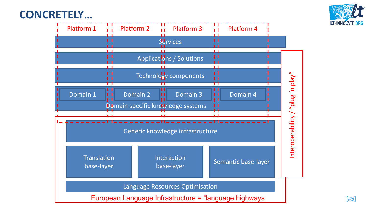### **CONCRETELY…**